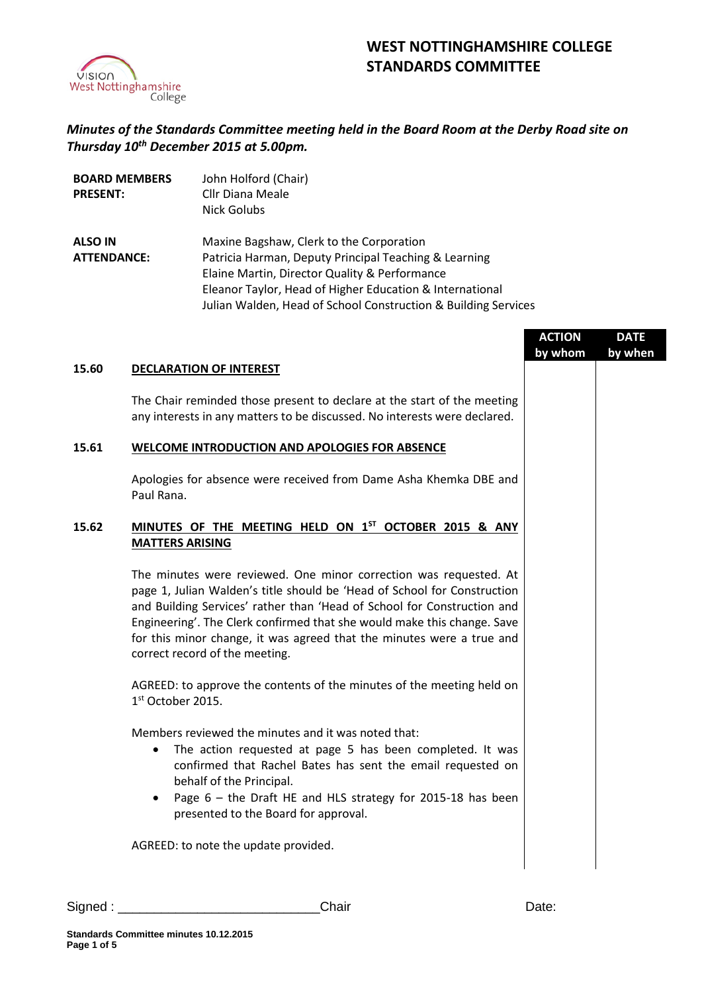

## **WEST NOTTINGHAMSHIRE COLLEGE STANDARDS COMMITTEE**

*Minutes of the Standards Committee meeting held in the Board Room at the Derby Road site on Thursday 10 th December 2015 at 5.00pm.*

| <b>BOARD MEMBERS</b> | John Holford (Chair)                                           |
|----------------------|----------------------------------------------------------------|
| <b>PRESENT:</b>      | <b>Cllr Diana Meale</b>                                        |
|                      | Nick Golubs                                                    |
| <b>ALSO IN</b>       | Maxine Bagshaw, Clerk to the Corporation                       |
| <b>ATTENDANCE:</b>   | Patricia Harman, Deputy Principal Teaching & Learning          |
|                      | Elaine Martin, Director Quality & Performance                  |
|                      | Eleanor Taylor, Head of Higher Education & International       |
|                      | Julian Walden, Head of School Construction & Building Services |

|       |                                                                                                                                                                                                                                                                                                                                                                                                                | <b>ACTION</b><br>by whom | <b>DATE</b><br>by when |
|-------|----------------------------------------------------------------------------------------------------------------------------------------------------------------------------------------------------------------------------------------------------------------------------------------------------------------------------------------------------------------------------------------------------------------|--------------------------|------------------------|
| 15.60 | <b>DECLARATION OF INTEREST</b>                                                                                                                                                                                                                                                                                                                                                                                 |                          |                        |
|       | The Chair reminded those present to declare at the start of the meeting<br>any interests in any matters to be discussed. No interests were declared.                                                                                                                                                                                                                                                           |                          |                        |
| 15.61 | WELCOME INTRODUCTION AND APOLOGIES FOR ABSENCE                                                                                                                                                                                                                                                                                                                                                                 |                          |                        |
|       | Apologies for absence were received from Dame Asha Khemka DBE and<br>Paul Rana.                                                                                                                                                                                                                                                                                                                                |                          |                        |
| 15.62 | MINUTES OF THE MEETING HELD ON 1ST OCTOBER 2015 & ANY<br><b>MATTERS ARISING</b>                                                                                                                                                                                                                                                                                                                                |                          |                        |
|       | The minutes were reviewed. One minor correction was requested. At<br>page 1, Julian Walden's title should be 'Head of School for Construction<br>and Building Services' rather than 'Head of School for Construction and<br>Engineering'. The Clerk confirmed that she would make this change. Save<br>for this minor change, it was agreed that the minutes were a true and<br>correct record of the meeting. |                          |                        |
|       | AGREED: to approve the contents of the minutes of the meeting held on<br>$1st$ October 2015.                                                                                                                                                                                                                                                                                                                   |                          |                        |
|       | Members reviewed the minutes and it was noted that:<br>The action requested at page 5 has been completed. It was<br>$\bullet$<br>confirmed that Rachel Bates has sent the email requested on<br>behalf of the Principal.<br>Page 6 - the Draft HE and HLS strategy for 2015-18 has been<br>٠<br>presented to the Board for approval.                                                                           |                          |                        |
|       | AGREED: to note the update provided.                                                                                                                                                                                                                                                                                                                                                                           |                          |                        |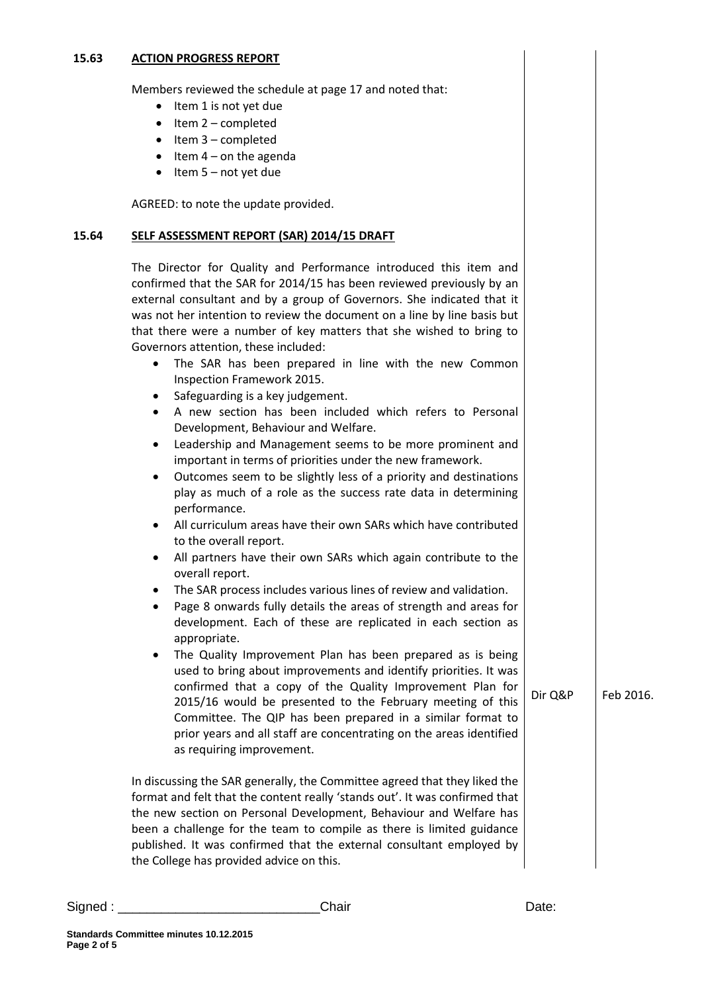## **15.63 ACTION PROGRESS REPORT**

Members reviewed the schedule at page 17 and noted that:

- Item 1 is not yet due
- $\bullet$  Item 2 completed
- $\bullet$  Item 3 completed
- $\bullet$  Item 4 on the agenda
- $\bullet$  Item 5 not yet due

AGREED: to note the update provided.

## **15.64 SELF ASSESSMENT REPORT (SAR) 2014/15 DRAFT**

The Director for Quality and Performance introduced this item and confirmed that the SAR for 2014/15 has been reviewed previously by an external consultant and by a group of Governors. She indicated that it was not her intention to review the document on a line by line basis but that there were a number of key matters that she wished to bring to Governors attention, these included:

- The SAR has been prepared in line with the new Common Inspection Framework 2015.
- Safeguarding is a key judgement.
- A new section has been included which refers to Personal Development, Behaviour and Welfare.
- Leadership and Management seems to be more prominent and important in terms of priorities under the new framework.
- Outcomes seem to be slightly less of a priority and destinations play as much of a role as the success rate data in determining performance.
- All curriculum areas have their own SARs which have contributed to the overall report.
- All partners have their own SARs which again contribute to the overall report.
- The SAR process includes various lines of review and validation.
- Page 8 onwards fully details the areas of strength and areas for development. Each of these are replicated in each section as appropriate.
- The Quality Improvement Plan has been prepared as is being used to bring about improvements and identify priorities. It was confirmed that a copy of the Quality Improvement Plan for 2015/16 would be presented to the February meeting of this Committee. The QIP has been prepared in a similar format to prior years and all staff are concentrating on the areas identified as requiring improvement.  $Dir O\&P$  | Feb 2016.

In discussing the SAR generally, the Committee agreed that they liked the format and felt that the content really 'stands out'. It was confirmed that the new section on Personal Development, Behaviour and Welfare has been a challenge for the team to compile as there is limited guidance published. It was confirmed that the external consultant employed by the College has provided advice on this.

Signed : \_\_\_\_\_\_\_\_\_\_\_\_\_\_\_\_\_\_\_\_\_\_\_\_\_\_\_\_Chair Date: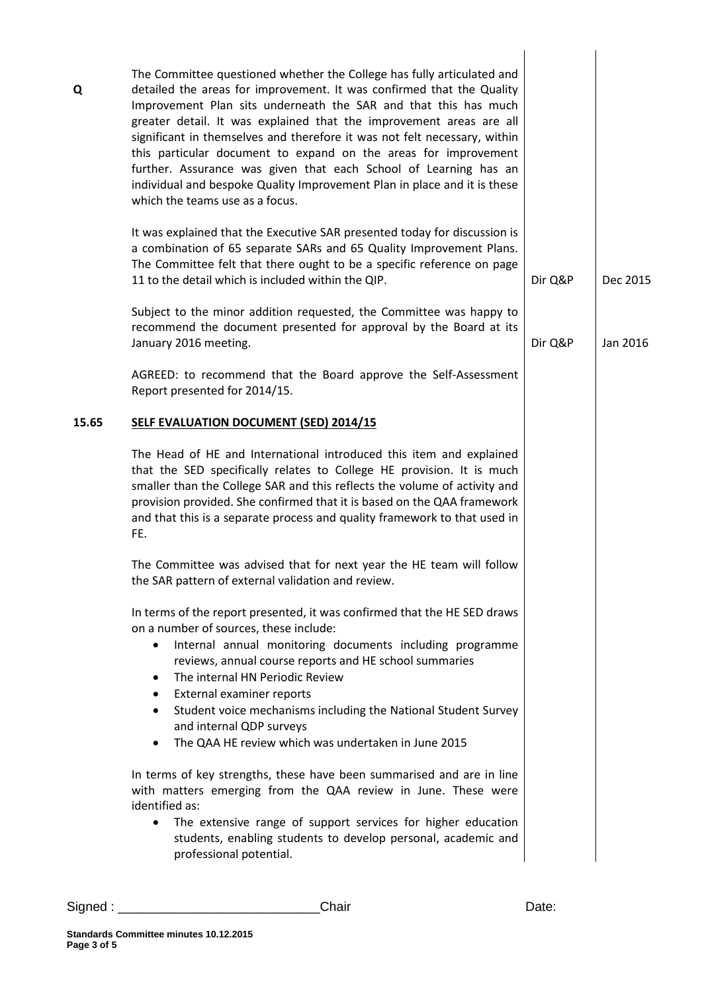| The Committee questioned whether the College has fully articulated and<br>detailed the areas for improvement. It was confirmed that the Quality<br>Improvement Plan sits underneath the SAR and that this has much<br>greater detail. It was explained that the improvement areas are all<br>significant in themselves and therefore it was not felt necessary, within<br>this particular document to expand on the areas for improvement<br>further. Assurance was given that each School of Learning has an<br>individual and bespoke Quality Improvement Plan in place and it is these<br>which the teams use as a focus.<br>It was explained that the Executive SAR presented today for discussion is<br>a combination of 65 separate SARs and 65 Quality Improvement Plans.<br>The Committee felt that there ought to be a specific reference on page<br>11 to the detail which is included within the QIP.<br>Subject to the minor addition requested, the Committee was happy to<br>recommend the document presented for approval by the Board at its<br>January 2016 meeting. | Dir Q&P                 | Dec 2015 |
|---------------------------------------------------------------------------------------------------------------------------------------------------------------------------------------------------------------------------------------------------------------------------------------------------------------------------------------------------------------------------------------------------------------------------------------------------------------------------------------------------------------------------------------------------------------------------------------------------------------------------------------------------------------------------------------------------------------------------------------------------------------------------------------------------------------------------------------------------------------------------------------------------------------------------------------------------------------------------------------------------------------------------------------------------------------------------------------|-------------------------|----------|
|                                                                                                                                                                                                                                                                                                                                                                                                                                                                                                                                                                                                                                                                                                                                                                                                                                                                                                                                                                                                                                                                                       |                         |          |
|                                                                                                                                                                                                                                                                                                                                                                                                                                                                                                                                                                                                                                                                                                                                                                                                                                                                                                                                                                                                                                                                                       |                         |          |
|                                                                                                                                                                                                                                                                                                                                                                                                                                                                                                                                                                                                                                                                                                                                                                                                                                                                                                                                                                                                                                                                                       | Dir Q&P                 | Jan 2016 |
| AGREED: to recommend that the Board approve the Self-Assessment<br>Report presented for 2014/15.                                                                                                                                                                                                                                                                                                                                                                                                                                                                                                                                                                                                                                                                                                                                                                                                                                                                                                                                                                                      |                         |          |
| <b>SELF EVALUATION DOCUMENT (SED) 2014/15</b>                                                                                                                                                                                                                                                                                                                                                                                                                                                                                                                                                                                                                                                                                                                                                                                                                                                                                                                                                                                                                                         |                         |          |
| The Head of HE and International introduced this item and explained<br>that the SED specifically relates to College HE provision. It is much<br>smaller than the College SAR and this reflects the volume of activity and<br>provision provided. She confirmed that it is based on the QAA framework<br>and that this is a separate process and quality framework to that used in<br>FE.                                                                                                                                                                                                                                                                                                                                                                                                                                                                                                                                                                                                                                                                                              |                         |          |
| The Committee was advised that for next year the HE team will follow<br>the SAR pattern of external validation and review.                                                                                                                                                                                                                                                                                                                                                                                                                                                                                                                                                                                                                                                                                                                                                                                                                                                                                                                                                            |                         |          |
| In terms of the report presented, it was confirmed that the HE SED draws<br>on a number of sources, these include:<br>Internal annual monitoring documents including programme<br>$\bullet$<br>reviews, annual course reports and HE school summaries<br>The internal HN Periodic Review<br>٠<br>External examiner reports<br>٠<br>Student voice mechanisms including the National Student Survey<br>٠<br>and internal QDP surveys<br>The QAA HE review which was undertaken in June 2015<br>$\bullet$                                                                                                                                                                                                                                                                                                                                                                                                                                                                                                                                                                                |                         |          |
| In terms of key strengths, these have been summarised and are in line<br>with matters emerging from the QAA review in June. These were<br>identified as:<br>The extensive range of support services for higher education<br>$\bullet$<br>students, enabling students to develop personal, academic and                                                                                                                                                                                                                                                                                                                                                                                                                                                                                                                                                                                                                                                                                                                                                                                |                         |          |
|                                                                                                                                                                                                                                                                                                                                                                                                                                                                                                                                                                                                                                                                                                                                                                                                                                                                                                                                                                                                                                                                                       | professional potential. |          |

Signed : \_\_\_\_\_\_\_\_\_\_\_\_\_\_\_\_\_\_\_\_\_\_\_\_\_\_\_\_Chair Date: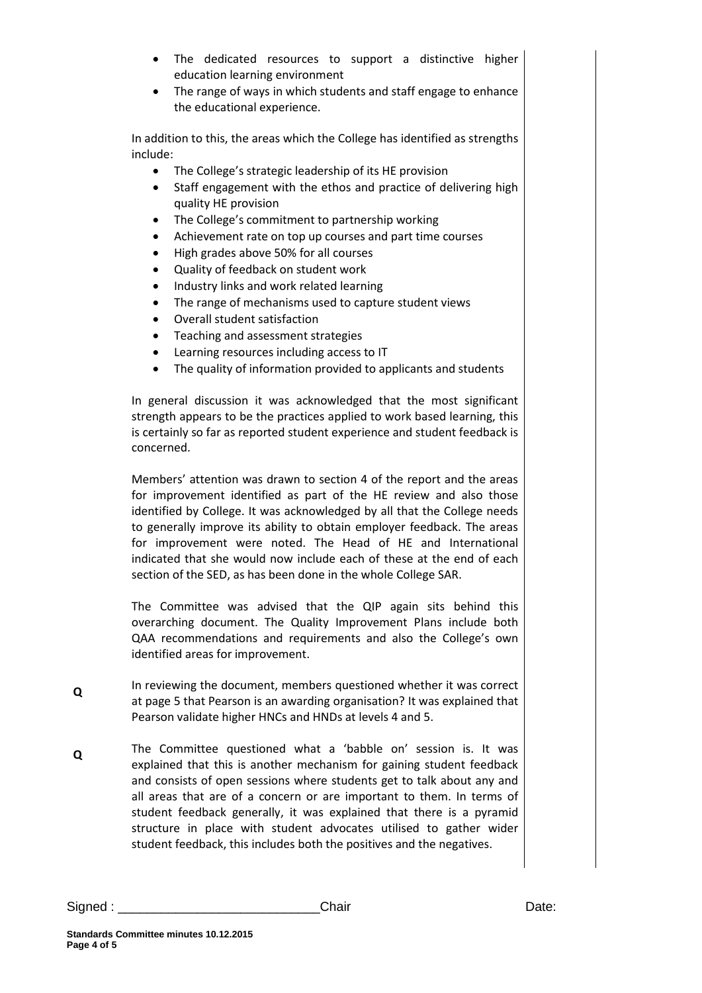- The dedicated resources to support a distinctive higher education learning environment
- The range of ways in which students and staff engage to enhance the educational experience.

In addition to this, the areas which the College has identified as strengths include:

- The College's strategic leadership of its HE provision
- Staff engagement with the ethos and practice of delivering high quality HE provision
- The College's commitment to partnership working
- Achievement rate on top up courses and part time courses
- High grades above 50% for all courses
- Quality of feedback on student work
- Industry links and work related learning
- The range of mechanisms used to capture student views
- Overall student satisfaction
- Teaching and assessment strategies
- Learning resources including access to IT
- The quality of information provided to applicants and students

In general discussion it was acknowledged that the most significant strength appears to be the practices applied to work based learning, this is certainly so far as reported student experience and student feedback is concerned.

Members' attention was drawn to section 4 of the report and the areas for improvement identified as part of the HE review and also those identified by College. It was acknowledged by all that the College needs to generally improve its ability to obtain employer feedback. The areas for improvement were noted. The Head of HE and International indicated that she would now include each of these at the end of each section of the SED, as has been done in the whole College SAR.

The Committee was advised that the QIP again sits behind this overarching document. The Quality Improvement Plans include both QAA recommendations and requirements and also the College's own identified areas for improvement.

- **Q** In reviewing the document, members questioned whether it was correct at page 5 that Pearson is an awarding organisation? It was explained that Pearson validate higher HNCs and HNDs at levels 4 and 5.
- **Q** The Committee questioned what a 'babble on' session is. It was explained that this is another mechanism for gaining student feedback and consists of open sessions where students get to talk about any and all areas that are of a concern or are important to them. In terms of student feedback generally, it was explained that there is a pyramid structure in place with student advocates utilised to gather wider student feedback, this includes both the positives and the negatives.